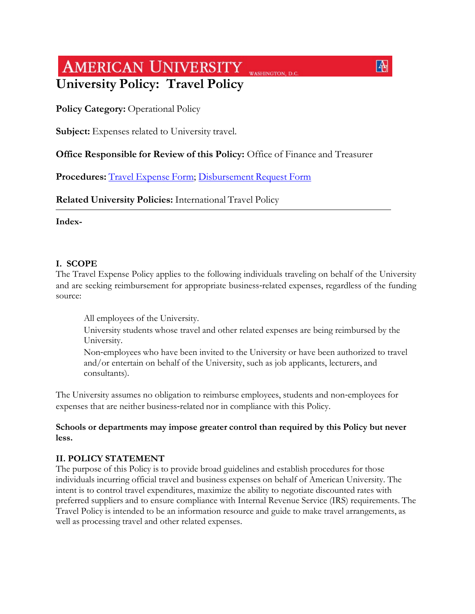# **AMERICAN UNIVERSITY** WASHINGTON, D.C. **University Policy: Travel Policy**

**Policy Category: Operational Policy** 

**Subject:** Expenses related to University travel.

# **Office Responsible for Review of this Policy:** Office of Finance and Treasurer

 $\boxed{4}$ 

**Procedures:** [Travel Expense Form;](https://my.american.edu/apps/accounts_payable/travelexp.cfm) [Disbursement Request Form](https://my.american.edu/apps/accounts_payable/disbur.cfm)

**Related University Policies:** International Travel Policy

**Index-**

## **I. SCOPE**

The Travel Expense Policy applies to the following individuals traveling on behalf of the University and are seeking reimbursement for appropriate business-related expenses, regardless of the funding source:

All employees of the University.

 University students whose travel and other related expenses are being reimbursed by the University.

 Non‐employees who have been invited to the University or have been authorized to travel and/or entertain on behalf of the University, such as job applicants, lecturers, and consultants).

The University assumes no obligation to reimburse employees, students and non‐employees for expenses that are neither business‐related nor in compliance with this Policy.

## **Schools or departments may impose greater control than required by this Policy but never less.**

# **II. POLICY STATEMENT**

The purpose of this Policy is to provide broad guidelines and establish procedures for those individuals incurring official travel and business expenses on behalf of American University. The intent is to control travel expenditures, maximize the ability to negotiate discounted rates with preferred suppliers and to ensure compliance with Internal Revenue Service (IRS) requirements. The Travel Policy is intended to be an information resource and guide to make travel arrangements, as well as processing travel and other related expenses.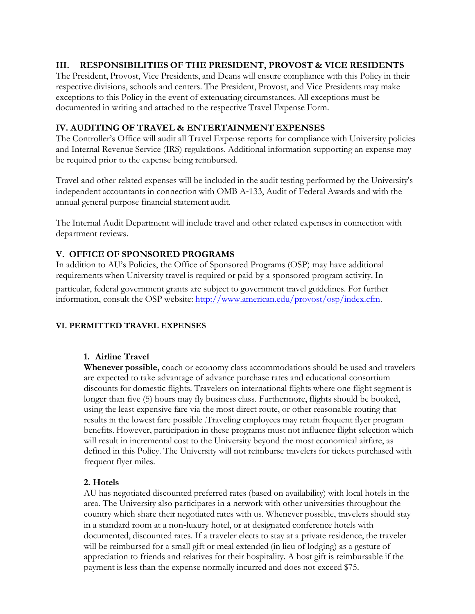## **III. RESPONSIBILITIES OF THE PRESIDENT, PROVOST & VICE RESIDENTS**

The President, Provost, Vice Presidents, and Deans will ensure compliance with this Policy in their respective divisions, schools and centers. The President, Provost, and Vice Presidents may make exceptions to this Policy in the event of extenuating circumstances. All exceptions must be documented in writing and attached to the respective Travel Expense Form.

## **IV. AUDITING OF TRAVEL & ENTERTAINMENT EXPENSES**

The Controller's Office will audit all Travel Expense reports for compliance with University policies and Internal Revenue Service (IRS) regulations. Additional information supporting an expense may be required prior to the expense being reimbursed.

Travel and other related expenses will be included in the audit testing performed by the University's independent accountants in connection with OMB A‐133, Audit of Federal Awards and with the annual general purpose financial statement audit.

The Internal Audit Department will include travel and other related expenses in connection with department reviews.

# **V. OFFICE OF SPONSORED PROGRAMS**

In addition to AU's Policies, the Office of Sponsored Programs (OSP) may have additional requirements when University travel is required or paid by a sponsored program activity. In

particular, federal government grants are subject to government travel guidelines. For further information, consult the OSP website:<http://www.american.edu/provost/osp/index.cfm>.

#### **VI. PERMITTED TRAVEL EXPENSES**

#### **1. Airline Travel**

**Whenever possible,** coach or economy class accommodations should be used and travelers are expected to take advantage of advance purchase rates and educational consortium discounts for domestic flights. Travelers on international flights where one flight segment is longer than five (5) hours may fly business class. Furthermore, flights should be booked, using the least expensive fare via the most direct route, or other reasonable routing that results in the lowest fare possible .Traveling employees may retain frequent flyer program benefits. However, participation in these programs must not influence flight selection which will result in incremental cost to the University beyond the most economical airfare, as defined in this Policy. The University will not reimburse travelers for tickets purchased with frequent flyer miles.

#### **2. Hotels**

AU has negotiated discounted preferred rates (based on availability) with local hotels in the area. The University also participates in a network with other universities throughout the country which share their negotiated rates with us. Whenever possible, travelers should stay in a standard room at a non‐luxury hotel, or at designated conference hotels with documented, discounted rates. If a traveler elects to stay at a private residence, the traveler will be reimbursed for a small gift or meal extended (in lieu of lodging) as a gesture of appreciation to friends and relatives for their hospitality. A host gift is reimbursable if the payment is less than the expense normally incurred and does not exceed \$75.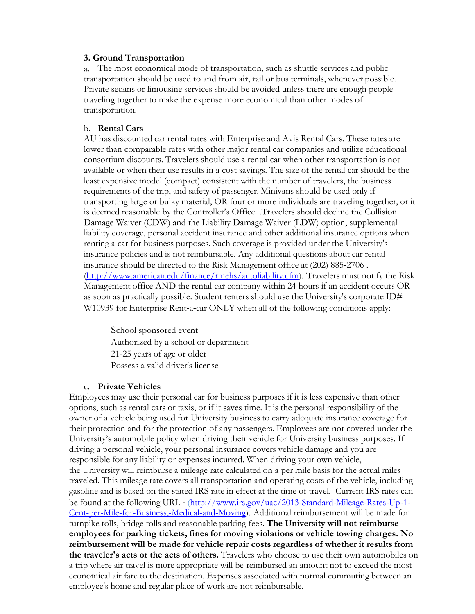#### **3. Ground Transportation**

a. The most economical mode of transportation, such as shuttle services and public transportation should be used to and from air, rail or bus terminals, whenever possible. Private sedans or limousine services should be avoided unless there are enough people traveling together to make the expense more economical than other modes of transportation.

#### b. **Rental Cars**

AU has discounted car rental rates with Enterprise and Avis Rental Cars. These rates are lower than comparable rates with other major rental car companies and utilize educational consortium discounts. Travelers should use a rental car when other transportation is not available or when their use results in a cost savings. The size of the rental car should be the least expensive model (compact) consistent with the number of travelers, the business requirements of the trip, and safety of passenger. Minivans should be used only if transporting large or bulky material, OR four or more individuals are traveling together, or it is deemed reasonable by the Controller's Office. .Travelers should decline the Collision Damage Waiver (CDW) and the Liability Damage Waiver (LDW) option, supplemental liability coverage, personal accident insurance and other additional insurance options when renting a car for business purposes. Such coverage is provided under the University's insurance policies and is not reimbursable. Any additional questions about car rental insurance should be directed to the Risk Management office at (202) 885‐2706 . [\(http://www.american.edu/finance/rmehs/autoliability.cfm\).](http://www.american.edu/finance/rmehs/autoliability.cfm) Travelers must notify the Risk Management office AND the rental car company within 24 hours if an accident occurs OR as soon as practically possible. Student renters should use the University's corporate ID# W10939 for Enterprise Rent-a-car ONLY when all of the following conditions apply:

 School sponsored event Authorized by a school or department 21‐25 years of age or older Possess a valid driver's license

#### c. **Private Vehicles**

Employees may use their personal car for business purposes if it is less expensive than other options, such as rental cars or taxis, or if it saves time. It is the personal responsibility of the owner of a vehicle being used for University business to carry adequate insurance coverage for their protection and for the protection of any passengers. Employees are not covered under the University's automobile policy when driving their vehicle for University business purposes. If driving a personal vehicle, your personal insurance covers vehicle damage and you are responsible for any liability or expenses incurred. When driving your own vehicle, the University will reimburse a mileage rate calculated on a per mile basis for the actual miles traveled. This mileage rate covers all transportation and operating costs of the vehicle, including gasoline and is based on the stated IRS rate in effect at the time of travel. Current IRS rates can be found at the following URL - (http://www.irs.gov/uac/2013-Standard-Mileage-Rates-Up-1-[Cent-per-Mile-for-Business,-Medical-and-Moving\). Additional reimbursement will be made for](http://www.irs.gov/uac/2013-Standard-Mileage-Rates-Up-1-Cent-per-Mile-for-Business,-Medical-and-Moving)  turnpike tolls, bridge tolls and reasonable parking fees. **The University will not reimburse employees for parking tickets, fines for moving violations or vehicle towing charges. No reimbursement will be made for vehicle repair costs regardless of whether it results from the traveler's acts or the acts of others.** Travelers who choose to use their own automobiles on a trip where air travel is more appropriate will be reimbursed an amount not to exceed the most economical air fare to the destination. Expenses associated with normal commuting between an employee's home and regular place of work are not reimbursable.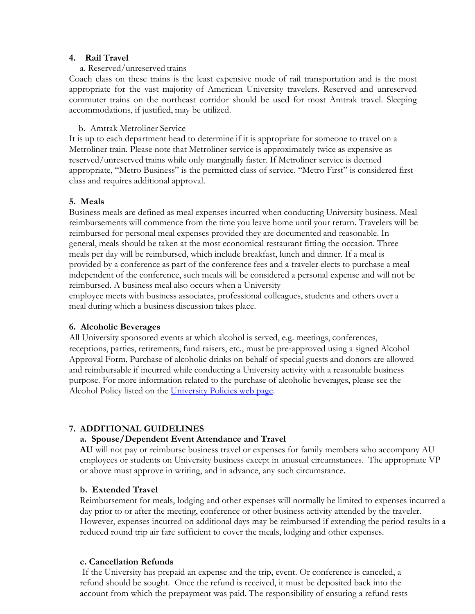#### **4. Rail Travel**

#### a. Reserved/unreserved trains

Coach class on these trains is the least expensive mode of rail transportation and is the most appropriate for the vast majority of American University travelers. Reserved and unreserved commuter trains on the northeast corridor should be used for most Amtrak travel. Sleeping accommodations, if justified, may be utilized.

#### b. Amtrak Metroliner Service

It is up to each department head to determine if it is appropriate for someone to travel on a Metroliner train. Please note that Metroliner service is approximately twice as expensive as reserved/unreserved trains while only marginally faster. If Metroliner service is deemed appropriate, "Metro Business" is the permitted class of service. "Metro First" is considered first class and requires additional approval.

#### **5. Meals**

Business meals are defined as meal expenses incurred when conducting University business. Meal reimbursements will commence from the time you leave home until your return. Travelers will be reimbursed for personal meal expenses provided they are documented and reasonable. In general, meals should be taken at the most economical restaurant fitting the occasion. Three meals per day will be reimbursed, which include breakfast, lunch and dinner. If a meal is provided by a conference as part of the conference fees and a traveler elects to purchase a meal independent of the conference, such meals will be considered a personal expense and will not be reimbursed. A business meal also occurs when a University

employee meets with business associates, professional colleagues, students and others over a meal during which a business discussion takes place.

#### **6. Alcoholic Beverages**

All University sponsored events at which alcohol is served, e.g. meetings, conferences, receptions, parties, retirements, fund raisers, etc., must be pre‐approved using a signed Alcohol Approval Form. Purchase of alcoholic drinks on behalf of special guests and donors are allowed and reimbursable if incurred while conducting a University activity with a reasonable business purpose. For more information related to the purchase of alcoholic beverages, please see the Alcohol Policy listed on the [University Policies web page.](http://www.american.edu/policies)

#### **7. ADDITIONAL GUIDELINES**

#### **a. Spouse/Dependent Event Attendance and Travel**

**AU** will not pay or reimburse business travel or expenses for family members who accompany AU employees or students on University business except in unusual circumstances. The appropriate VP or above must approve in writing, and in advance, any such circumstance.

#### **b. Extended Travel**

Reimbursement for meals, lodging and other expenses will normally be limited to expenses incurred a day prior to or after the meeting, conference or other business activity attended by the traveler. However, expenses incurred on additional days may be reimbursed if extending the period results in a reduced round trip air fare sufficient to cover the meals, lodging and other expenses.

#### **c. Cancellation Refunds**

If the University has prepaid an expense and the trip, event. Or conference is canceled, a refund should be sought. Once the refund is received, it must be deposited back into the account from which the prepayment was paid. The responsibility of ensuring a refund rests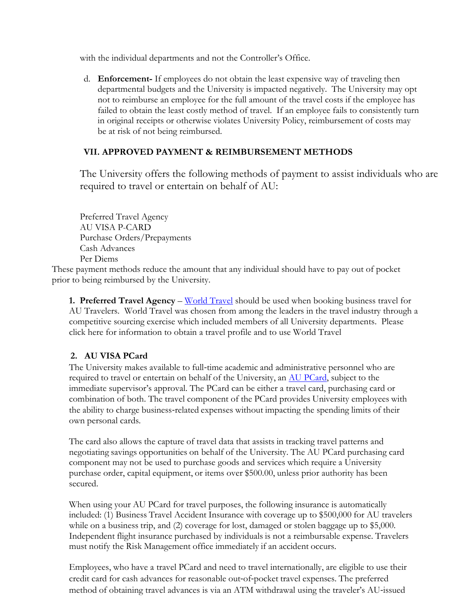with the individual departments and not the Controller's Office.

d. **Enforcement-** If employees do not obtain the least expensive way of traveling then departmental budgets and the University is impacted negatively. The University may opt not to reimburse an employee for the full amount of the travel costs if the employee has failed to obtain the least costly method of travel. If an employee fails to consistently turn in original receipts or otherwise violates University Policy, reimbursement of costs may be at risk of not being reimbursed.

# **VII. APPROVED PAYMENT & REIMBURSEMENT METHODS**

The University offers the following methods of payment to assist individuals who are required to travel or entertain on behalf of AU:

 Preferred Travel Agency AU VISA P-CARD Purchase Orders/Prepayments Cash Advances Per Diems

These payment methods reduce the amount that any individual should have to pay out of pocket prior to being reimbursed by the University.

**1. Preferred Travel Agency** – [World Travel](https://myau.american.edu/CookieAuth.dll?GetLogon?curl=Z2F&reason=0&formdir=6) should be used when booking business travel for AU Travelers. World Travel was chosen from among the leaders in the travel industry through a competitive sourcing exercise which included members of all University departments. Please click here for information to obtain a travel profile and to use World Travel

# **2. AU VISA PCard**

The University makes available to full-time academic and administrative personnel who are required to travel or entertain on behalf of the University, an [AU PCard](http://www.american.edu/finance/controller/upload/VISA-Purchasing-Card-Guidelines-revised-2.pdf), subject to the immediate supervisor's approval. The PCard can be either a travel card, purchasing card or combination of both. The travel component of the PCard provides University employees with the ability to charge business‐related expenses without impacting the spending limits of their own personal cards.

The card also allows the capture of travel data that assists in tracking travel patterns and negotiating savings opportunities on behalf of the University. The AU PCard purchasing card component may not be used to purchase goods and services which require a University purchase order, capital equipment, or items over \$500.00, unless prior authority has been secured.

When using your AU PCard for travel purposes, the following insurance is automatically included: (1) Business Travel Accident Insurance with coverage up to \$500,000 for AU travelers while on a business trip, and (2) coverage for lost, damaged or stolen baggage up to \$5,000. Independent flight insurance purchased by individuals is not a reimbursable expense. Travelers must notify the Risk Management office immediately if an accident occurs.

Employees, who have a travel PCard and need to travel internationally, are eligible to use their credit card for cash advances for reasonable out‐of‐pocket travel expenses. The preferred method of obtaining travel advances is via an ATM withdrawal using the traveler's AU‐issued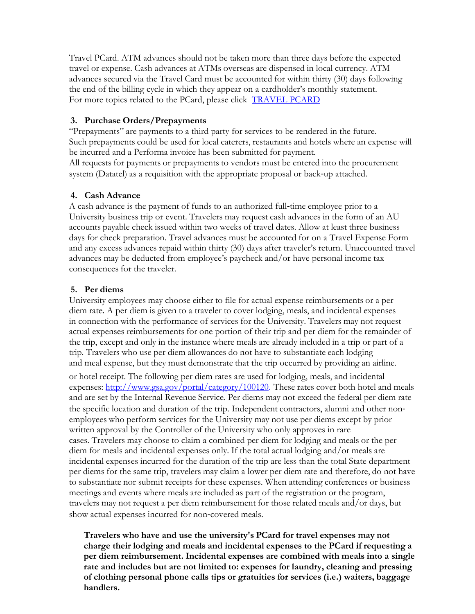Travel PCard. ATM advances should not be taken more than three days before the expected travel or expense. Cash advances at ATMs overseas are dispensed in local currency. ATM advances secured via the Travel Card must be accounted for within thirty (30) days following the end of the billing cycle in which they appear on a cardholder's monthly statement. For more topics related to the PCard, please click [TRAVEL PCARD](http://www.american.edu/finance/controller/upload/VISA-Purchasing-Card-Guidelines-revised-2.pdf)

## **3. Purchase Orders/Prepayments**

"Prepayments" are payments to a third party for services to be rendered in the future. Such prepayments could be used for local caterers, restaurants and hotels where an expense will be incurred and a Performa invoice has been submitted for payment. All requests for payments or prepayments to vendors must be entered into the procurement system (Datatel) as a requisition with the appropriate proposal or back-up attached.

## **4. Cash Advance**

A cash advance is the payment of funds to an authorized full‐time employee prior to a University business trip or event. Travelers may request cash advances in the form of an AU accounts payable check issued within two weeks of travel dates. Allow at least three business days for check preparation. Travel advances must be accounted for on a Travel Expense Form and any excess advances repaid within thirty (30) days after traveler's return. Unaccounted travel advances may be deducted from employee's paycheck and/or have personal income tax consequences for the traveler.

# **5. Per diems**

University employees may choose either to file for actual expense reimbursements or a per diem rate. A per diem is given to a traveler to cover lodging, meals, and incidental expenses in connection with the performance of services for the University. Travelers may not request actual expenses reimbursements for one portion of their trip and per diem for the remainder of the trip, except and only in the instance where meals are already included in a trip or part of a trip. Travelers who use per diem allowances do not have to substantiate each lodging and meal expense, but they must demonstrate that the trip occurred by providing an airline. or hotel receipt. The following per diem rates are used for lodging, meals, and incidental expenses: [http://www.gsa.gov/portal/category/100120. T](http://www.gsa.gov/portal/category/100120)hese rates cover both hotel and meals and are set by the Internal Revenue Service. Per diems may not exceed the federal per diem rate the specific location and duration of the trip. Independent contractors, alumni and other nonemployees who perform services for the University may not use per diems except by prior written approval by the Controller of the University who only approves in rare

cases. Travelers may choose to claim a combined per diem for lodging and meals or the per diem for meals and incidental expenses only. If the total actual lodging and/or meals are incidental expenses incurred for the duration of the trip are less than the total State department per diems for the same trip, travelers may claim a lower per diem rate and therefore, do not have to substantiate nor submit receipts for these expenses. When attending conferences or business meetings and events where meals are included as part of the registration or the program, travelers may not request a per diem reimbursement for those related meals and/or days, but show actual expenses incurred for non‐covered meals.

**Travelers who have and use the university's PCard for travel expenses may not charge their lodging and meals and incidental expenses to the PCard if requesting a per diem reimbursement. Incidental expenses are combined with meals into a single rate and includes but are not limited to: expenses for laundry, cleaning and pressing of clothing personal phone calls tips or gratuities for services (i.e.) waiters, baggage handlers.**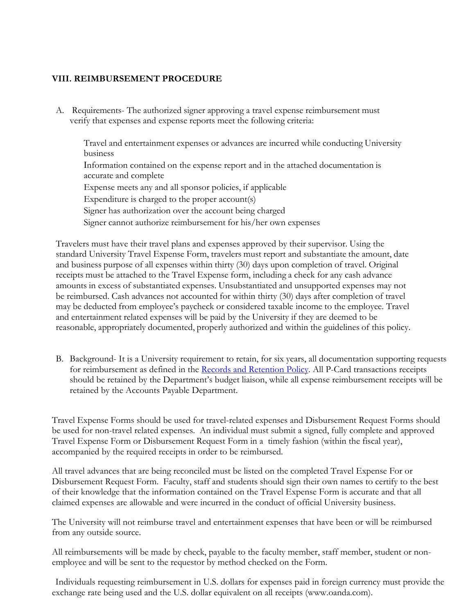## **VIII. REIMBURSEMENT PROCEDURE**

A. Requirements- The authorized signer approving a travel expense reimbursement must verify that expenses and expense reports meet the following criteria:

 Travel and entertainment expenses or advances are incurred while conducting University business Information contained on the expense report and in the attached documentation is accurate and complete Expense meets any and all sponsor policies, if applicable Expenditure is charged to the proper account(s) Signer has authorization over the account being charged Signer cannot authorize reimbursement for his/her own expenses

Travelers must have their travel plans and expenses approved by their supervisor. Using the standard University Travel Expense Form, travelers must report and substantiate the amount, date and business purpose of all expenses within thirty (30) days upon completion of travel. Original receipts must be attached to the Travel Expense form, including a check for any cash advance amounts in excess of substantiated expenses. Unsubstantiated and unsupported expenses may not be reimbursed. Cash advances not accounted for within thirty (30) days after completion of travel may be deducted from employee's paycheck or considered taxable income to the employee. Travel and entertainment related expenses will be paid by the University if they are deemed to be reasonable, appropriately documented, properly authorized and within the guidelines of this policy.

B. Background- It is a University requirement to retain, for six years, all documentation supporting requests for reimbursement as defined in the [Records and Retention Policy.](http://www.american.edu/loader.cfm?csModule=security/getfile&pageid=2448076?) All P-Card transactions receipts should be retained by the Department's budget liaison, while all expense reimbursement receipts will be retained by the Accounts Payable Department.

Travel Expense Forms should be used for travel-related expenses and Disbursement Request Forms should be used for non-travel related expenses. An individual must submit a signed, fully complete and approved Travel Expense Form or Disbursement Request Form in a timely fashion (within the fiscal year), accompanied by the required receipts in order to be reimbursed.

All travel advances that are being reconciled must be listed on the completed Travel Expense For or Disbursement Request Form. Faculty, staff and students should sign their own names to certify to the best of their knowledge that the information contained on the Travel Expense Form is accurate and that all claimed expenses are allowable and were incurred in the conduct of official University business.

The University will not reimburse travel and entertainment expenses that have been or will be reimbursed from any outside source.

All reimbursements will be made by check, payable to the faculty member, staff member, student or nonemployee and will be sent to the requestor by method checked on the Form.

Individuals requesting reimbursement in U.S. dollars for expenses paid in foreign currency must provide the exchange rate being used and the U.S. dollar equivalent on all receipts (www.oanda.com).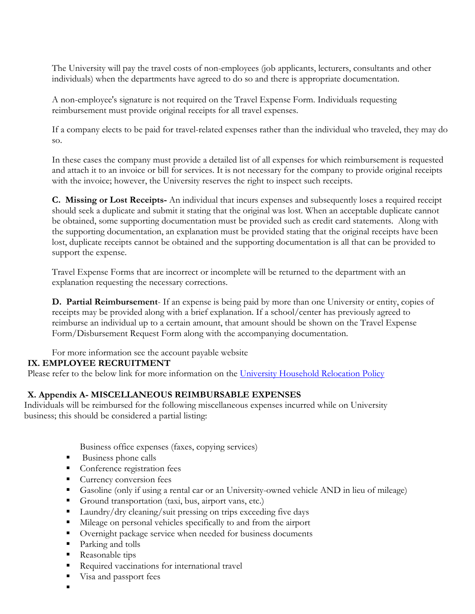The University will pay the travel costs of non-employees (job applicants, lecturers, consultants and other individuals) when the departments have agreed to do so and there is appropriate documentation.

A non-employee's signature is not required on the Travel Expense Form. Individuals requesting reimbursement must provide original receipts for all travel expenses.

If a company elects to be paid for travel-related expenses rather than the individual who traveled, they may do so.

In these cases the company must provide a detailed list of all expenses for which reimbursement is requested and attach it to an invoice or bill for services. It is not necessary for the company to provide original receipts with the invoice; however, the University reserves the right to inspect such receipts.

**C. Missing or Lost Receipts-** An individual that incurs expenses and subsequently loses a required receipt should seek a duplicate and submit it stating that the original was lost. When an acceptable duplicate cannot be obtained, some supporting documentation must be provided such as credit card statements. Along with the supporting documentation, an explanation must be provided stating that the original receipts have been lost, duplicate receipts cannot be obtained and the supporting documentation is all that can be provided to support the expense.

Travel Expense Forms that are incorrect or incomplete will be returned to the department with an explanation requesting the necessary corrections.

**D. Partial Reimbursement**- If an expense is being paid by more than one University or entity, copies of receipts may be provided along with a brief explanation. If a school/center has previously agreed to reimburse an individual up to a certain amount, that amount should be shown on the Travel Expense Form/Disbursement Request Form along with the accompanying documentation.

For more information see the account payable website

# **IX. EMPLOYEE RECRUITMENT**

Please refer to the below link for more information on the [University Household Relocation Policy](http://www.american.edu/policies/index.cfm)

# **X. Appendix A- MISCELLANEOUS REIMBURSABLE EXPENSES**

Individuals will be reimbursed for the following miscellaneous expenses incurred while on University business; this should be considered a partial listing:

Business office expenses (faxes, copying services)

- Business phone calls
- Conference registration fees
- Currency conversion fees
- Gasoline (only if using a rental car or an University-owned vehicle AND in lieu of mileage)
- Ground transportation (taxi, bus, airport vans, etc.)
- Laundry/dry cleaning/suit pressing on trips exceeding five days
- Mileage on personal vehicles specifically to and from the airport
- Overnight package service when needed for business documents
- Parking and tolls
- Reasonable tips
- Required vaccinations for international travel
- Visa and passport fees
- .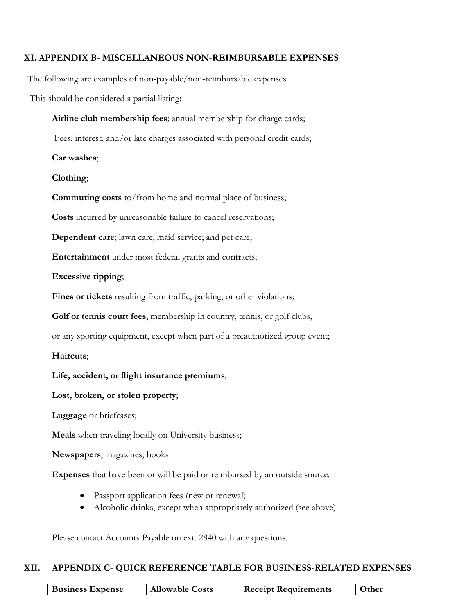### **XI. APPENDIX B- MISCELLANEOUS NON-REIMBURSABLE EXPENSES**

The following are examples of non-payable/non-reimbursable expenses.

This should be considered a partial listing:

**Airline club membership fees**; annual membership for charge cards;

Fees, interest, and/or late charges associated with personal credit cards;

**Car washes**;

**Clothing**;

**Commuting costs** to/from home and normal place of business;

**Costs** incurred by unreasonable failure to cancel reservations;

**Dependent care**; lawn care; maid service; and pet care;

**Entertainment** under most federal grants and contracts;

**Excessive tipping**;

**Fines or tickets** resulting from traffic, parking, or other violations;

**Golf or tennis court fees**, membership in country, tennis, or golf clubs,

or any sporting equipment, except when part of a preauthorized group event;

**Haircuts**;

**Life, accident, or flight insurance premiums**;

**Lost, broken, or stolen property**;

**Luggage** or briefcases;

**Meals** when traveling locally on University business;

**Newspapers**, magazines, books

**Expenses** that have been or will be paid or reimbursed by an outside source.

- Passport application fees (new or renewal)
- Alcoholic drinks, except when appropriately authorized (see above)

Please contact Accounts Payable on ext. 2840 with any questions.

#### **XII. APPENDIX C- QUICK REFERENCE TABLE FOR BUSINESS-RELATED EXPENSES**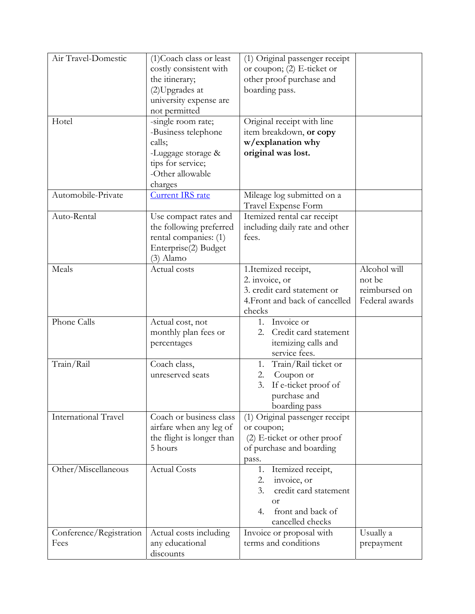| Air Travel-Domestic             | (1) Coach class or least<br>costly consistent with<br>the itinerary;<br>(2) Upgrades at<br>university expense are<br>not permitted | (1) Original passenger receipt<br>or coupon; $(2)$ E-ticket or<br>other proof purchase and<br>boarding pass.                            |                                                           |
|---------------------------------|------------------------------------------------------------------------------------------------------------------------------------|-----------------------------------------------------------------------------------------------------------------------------------------|-----------------------------------------------------------|
| Hotel                           | -single room rate;<br>-Business telephone<br>calls;<br>-Luggage storage &<br>tips for service;<br>-Other allowable<br>charges      | Original receipt with line<br>item breakdown, or copy<br>w/explanation why<br>original was lost.                                        |                                                           |
| Automobile-Private              | Current IRS rate                                                                                                                   | Mileage log submitted on a<br>Travel Expense Form                                                                                       |                                                           |
| Auto-Rental                     | Use compact rates and<br>the following preferred<br>rental companies: (1)<br>Enterprise(2) Budget<br>(3) Alamo                     | Itemized rental car receipt<br>including daily rate and other<br>fees.                                                                  |                                                           |
| Meals                           | Actual costs                                                                                                                       | 1.Itemized receipt,<br>2. invoice, or<br>3. credit card statement or<br>4. Front and back of cancelled<br>checks                        | Alcohol will<br>not be<br>reimbursed on<br>Federal awards |
| Phone Calls                     | Actual cost, not<br>monthly plan fees or<br>percentages                                                                            | Invoice or<br>1.<br>Credit card statement<br>2.<br>itemizing calls and<br>service fees.                                                 |                                                           |
| Train/Rail                      | Coach class,<br>unreserved seats                                                                                                   | Train/Rail ticket or<br>1.<br>Coupon or<br>2.<br>3.<br>If e-ticket proof of<br>purchase and<br>boarding pass                            |                                                           |
| <b>International Travel</b>     | Coach or business class<br>airfare when any leg of<br>the flight is longer than<br>5 hours                                         | (1) Original passenger receipt<br>or coupon;<br>$(2)$ E-ticket or other proof<br>of purchase and boarding<br>pass.                      |                                                           |
| Other/Miscellaneous             | <b>Actual Costs</b>                                                                                                                | Itemized receipt,<br>1.<br>invoice, or<br>2.<br>3.<br>credit card statement<br><b>or</b><br>front and back of<br>4.<br>cancelled checks |                                                           |
| Conference/Registration<br>Fees | Actual costs including<br>any educational<br>discounts                                                                             | Invoice or proposal with<br>terms and conditions                                                                                        | Usually a<br>prepayment                                   |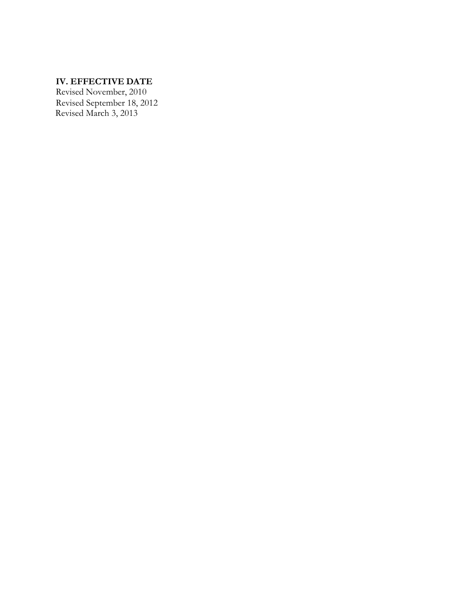# **IV. EFFECTIVE DATE**

Revised November, 2010 Revised September 18, 2012 Revised March 3, 2013